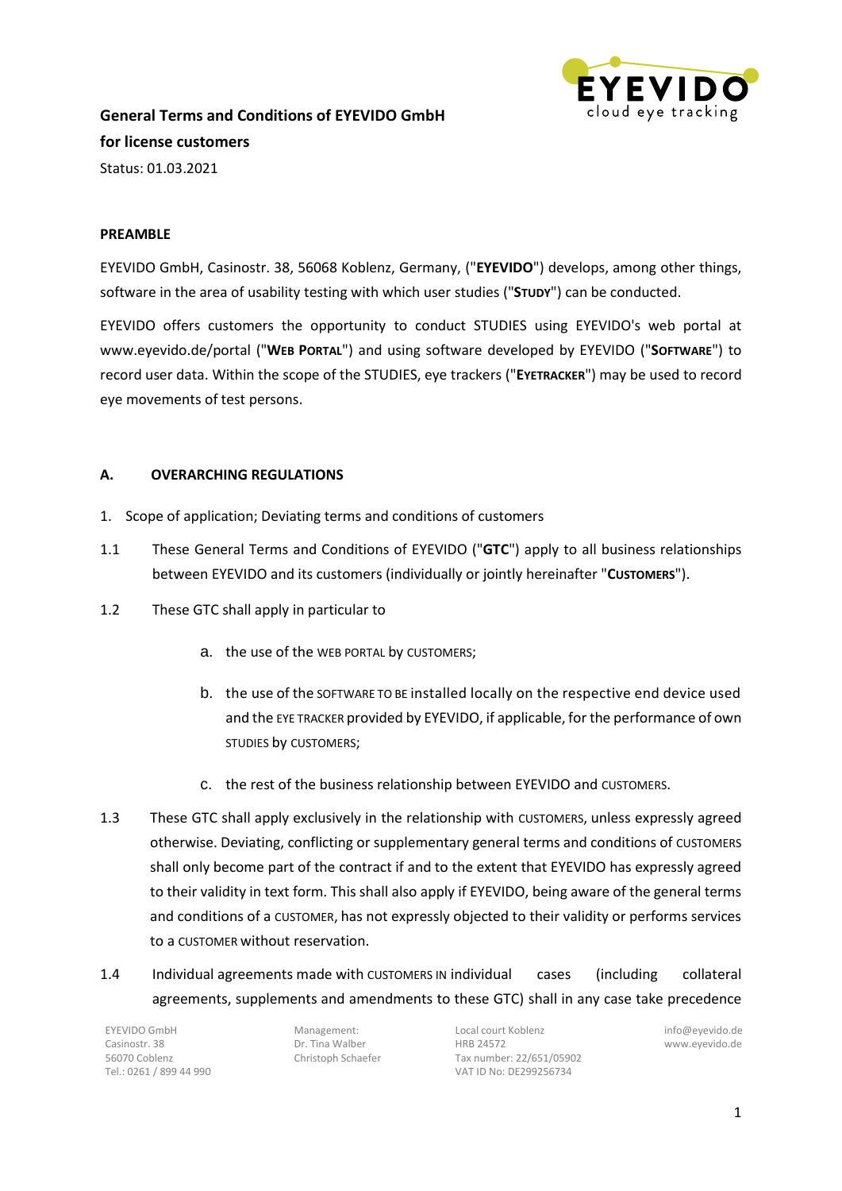

# **General Terms and Conditions of EYEVIDO GmbH for license customers** Status: 01.03.2021

#### **PREAMBLE**

EYEVIDO GmbH, Casinostr. 38, 56068 Koblenz, Germany, ("**EYEVIDO**") develops, among other things, software in the area of usability testing with which user studies ("**STUDY**") can be conducted.

EYEVIDO offers customers the opportunity to conduct STUDIES using EYEVIDO's web portal at www.eyevido.de/portal ("**WEB PORTAL**") and using software developed by EYEVIDO ("**SOFTWARE**") to record user data. Within the scope of the STUDIES, eye trackers ("**EYETRACKER**") may be used to record eye movements of test persons.

#### **A. OVERARCHING REGULATIONS**

- 1. Scope of application; Deviating terms and conditions of customers
- 1.1 These General Terms and Conditions of EYEVIDO ("**GTC**") apply to all business relationships between EYEVIDO and its customers (individually or jointly hereinafter "**CUSTOMERS**").
- 1.2 These GTC shall apply in particular to
	- a. the use of the WEB PORTAL by CUSTOMERS;
	- b. the use of the SOFTWARE TO BE installed locally on the respective end device used and the EYE TRACKER provided by EYEVIDO, if applicable, for the performance of own STUDIES by CUSTOMERS;
	- c. the rest of the business relationship between EYEVIDO and CUSTOMERS.
- 1.3 These GTC shall apply exclusively in the relationship with CUSTOMERS, unless expressly agreed otherwise. Deviating, conflicting or supplementary general terms and conditions of CUSTOMERS shall only become part of the contract if and to the extent that EYEVIDO has expressly agreed to their validity in text form. This shall also apply if EYEVIDO, being aware of the general terms and conditions of a CUSTOMER, has not expressly objected to their validity or performs services to a CUSTOMER without reservation.
- 1.4 Individual agreements made with CUSTOMERS IN individual cases (including collateral agreements, supplements and amendments to these GTC) shall in any case take precedence

EYEVIDO GmbH Casinostr. 38 56070 Coblenz Tel.: 0261 / 899 44 990 Management: Dr. Tina Walber Christoph Schaefer Local court Koblenz HRB 24572 Tax number: 22/651/05902 VAT ID No: DE299256734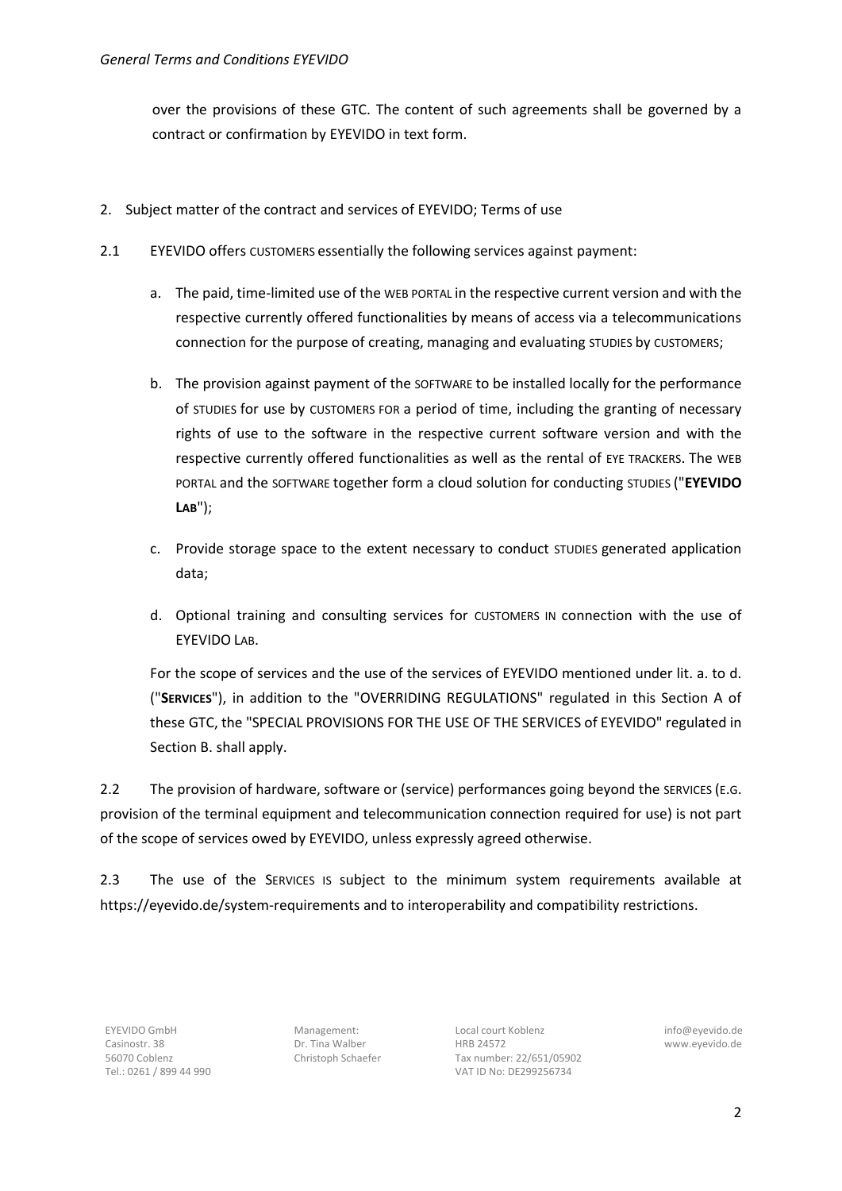over the provisions of these GTC. The content of such agreements shall be governed by a contract or confirmation by EYEVIDO in text form.

- 2. Subject matter of the contract and services of EYEVIDO; Terms of use
- 2.1 EYEVIDO offers CUSTOMERS essentially the following services against payment:
	- a. The paid, time-limited use of the WEB PORTAL in the respective current version and with the respective currently offered functionalities by means of access via a telecommunications connection for the purpose of creating, managing and evaluating STUDIES by CUSTOMERS;
	- b. The provision against payment of the SOFTWARE to be installed locally for the performance of STUDIES for use by CUSTOMERS FOR a period of time, including the granting of necessary rights of use to the software in the respective current software version and with the respective currently offered functionalities as well as the rental of EYE TRACKERS. The WEB PORTAL and the SOFTWARE together form a cloud solution for conducting STUDIES ("**EYEVIDO LAB**");
	- c. Provide storage space to the extent necessary to conduct STUDIES generated application data;
	- d. Optional training and consulting services for CUSTOMERS IN connection with the use of EYEVIDO LAB.

For the scope of services and the use of the services of EYEVIDO mentioned under lit. a. to d. ("**SERVICES**"), in addition to the "OVERRIDING REGULATIONS" regulated in this Section A of these GTC, the "SPECIAL PROVISIONS FOR THE USE OF THE SERVICES of EYEVIDO" regulated in Section B. shall apply.

2.2 The provision of hardware, software or (service) performances going beyond the SERVICES (E.G. provision of the terminal equipment and telecommunication connection required for use) is not part of the scope of services owed by EYEVIDO, unless expressly agreed otherwise.

2.3 The use of the SERVICES IS subject to the minimum system requirements available at https://eyevido.de/system-requirements and to interoperability and compatibility restrictions.

EYEVIDO GmbH Casinostr. 38 56070 Coblenz Tel.: 0261 / 899 44 990 Management: Dr. Tina Walber Christoph Schaefer Local court Koblenz HRB 24572 Tax number: 22/651/05902 VAT ID No: DE299256734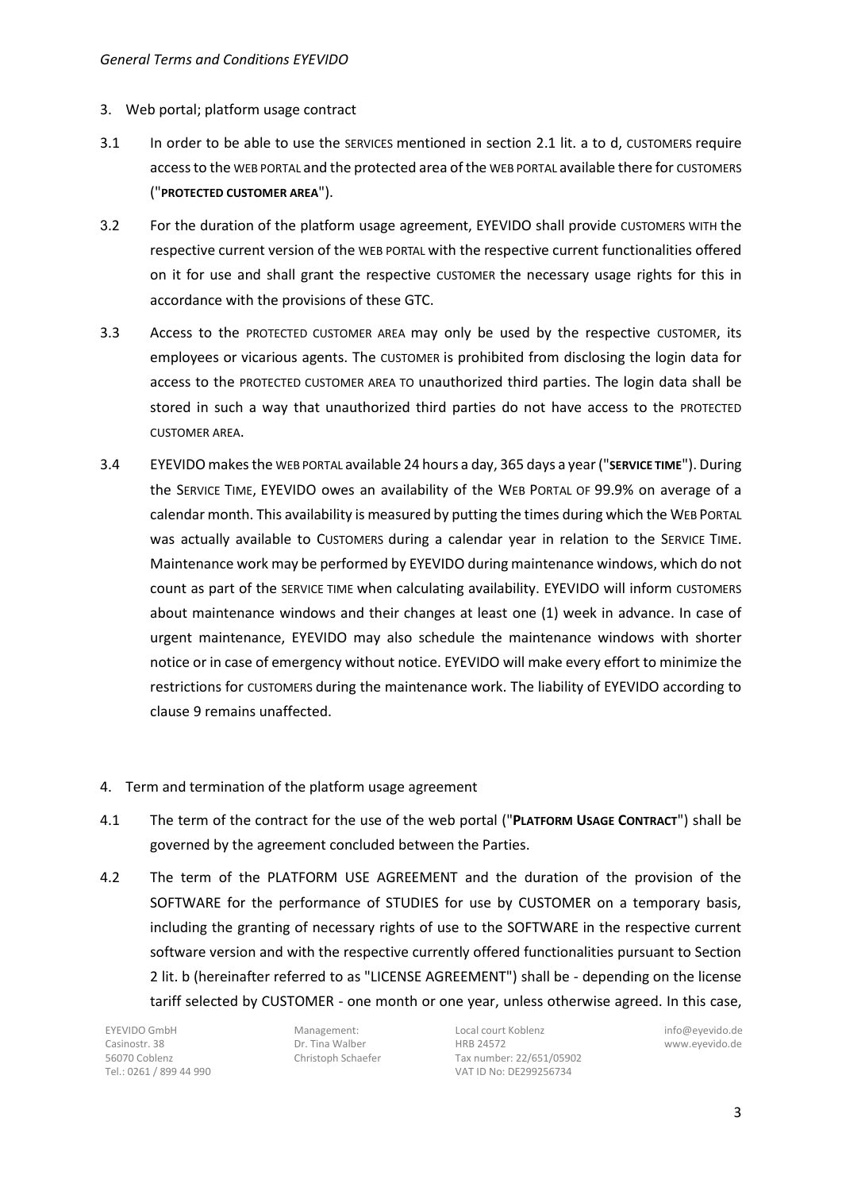- 3. Web portal; platform usage contract
- 3.1 In order to be able to use the SERVICES mentioned in section 2.1 lit. a to d, CUSTOMERS require access to the WEB PORTAL and the protected area of the WEB PORTAL available there for CUSTOMERS ("**PROTECTED CUSTOMER AREA**").
- 3.2 For the duration of the platform usage agreement, EYEVIDO shall provide CUSTOMERS WITH the respective current version of the WEB PORTAL with the respective current functionalities offered on it for use and shall grant the respective CUSTOMER the necessary usage rights for this in accordance with the provisions of these GTC.
- 3.3 Access to the PROTECTED CUSTOMER AREA may only be used by the respective CUSTOMER, its employees or vicarious agents. The CUSTOMER is prohibited from disclosing the login data for access to the PROTECTED CUSTOMER AREA TO unauthorized third parties. The login data shall be stored in such a way that unauthorized third parties do not have access to the PROTECTED CUSTOMER AREA.
- 3.4 EYEVIDO makes the WEB PORTAL available 24 hours a day, 365 days a year ("**SERVICE TIME**"). During the SERVICE TIME, EYEVIDO owes an availability of the WEB PORTAL OF 99.9% on average of a calendar month. This availability is measured by putting the times during which the WEB PORTAL was actually available to CUSTOMERS during a calendar year in relation to the SERVICE TIME. Maintenance work may be performed by EYEVIDO during maintenance windows, which do not count as part of the SERVICE TIME when calculating availability. EYEVIDO will inform CUSTOMERS about maintenance windows and their changes at least one (1) week in advance. In case of urgent maintenance, EYEVIDO may also schedule the maintenance windows with shorter notice or in case of emergency without notice. EYEVIDO will make every effort to minimize the restrictions for CUSTOMERS during the maintenance work. The liability of EYEVIDO according to clause 9 remains unaffected.
- 4. Term and termination of the platform usage agreement
- 4.1 The term of the contract for the use of the web portal ("**PLATFORM USAGE CONTRACT**") shall be governed by the agreement concluded between the Parties.
- 4.2 The term of the PLATFORM USE AGREEMENT and the duration of the provision of the SOFTWARE for the performance of STUDIES for use by CUSTOMER on a temporary basis, including the granting of necessary rights of use to the SOFTWARE in the respective current software version and with the respective currently offered functionalities pursuant to Section 2 lit. b (hereinafter referred to as "LICENSE AGREEMENT") shall be - depending on the license tariff selected by CUSTOMER - one month or one year, unless otherwise agreed. In this case,

EYEVIDO GmbH Casinostr. 38 56070 Coblenz Tel.: 0261 / 899 44 990 Management: Dr. Tina Walber Christoph Schaefer

Local court Koblenz HRB 24572 Tax number: 22/651/05902 VAT ID No: DE299256734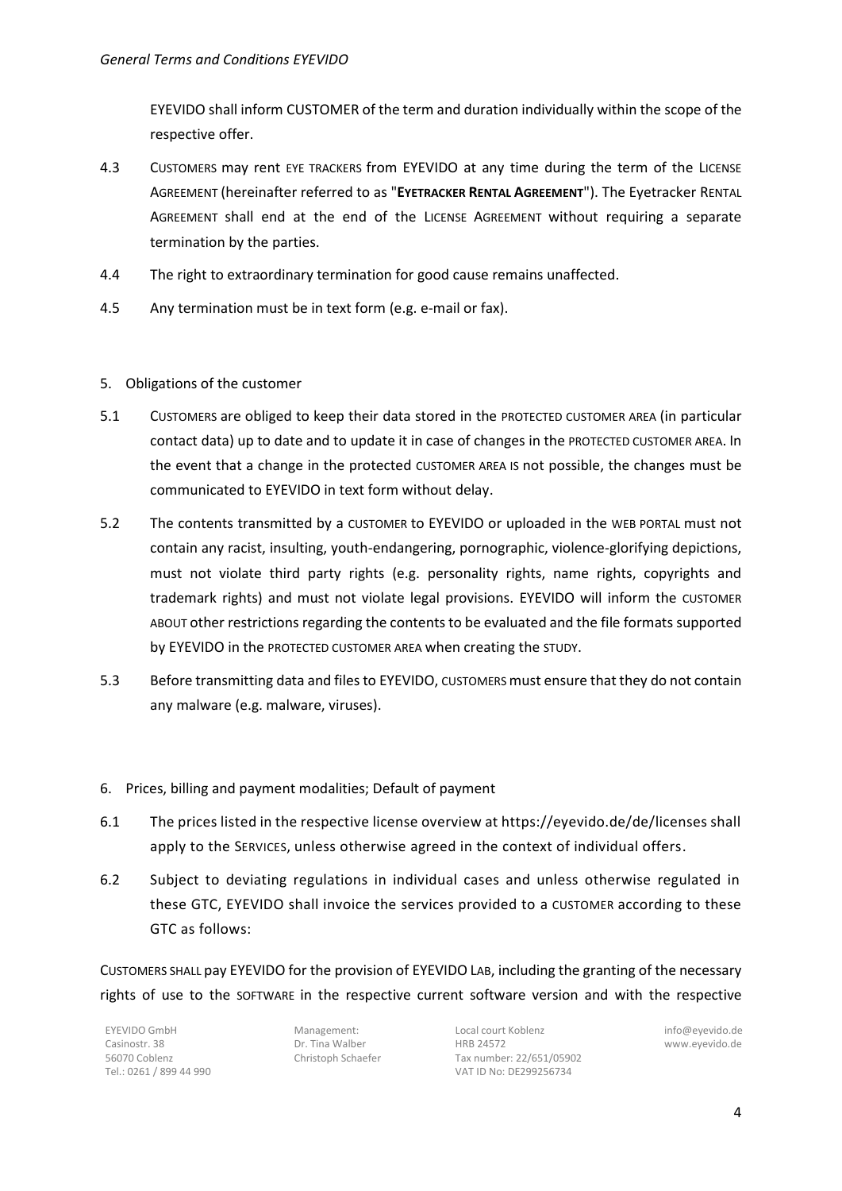EYEVIDO shall inform CUSTOMER of the term and duration individually within the scope of the respective offer.

- 4.3 CUSTOMERS may rent EYE TRACKERS from EYEVIDO at any time during the term of the LICENSE AGREEMENT (hereinafter referred to as "**EYETRACKER RENTAL AGREEMENT**"). The Eyetracker RENTAL AGREEMENT shall end at the end of the LICENSE AGREEMENT without requiring a separate termination by the parties.
- 4.4 The right to extraordinary termination for good cause remains unaffected.
- 4.5 Any termination must be in text form (e.g. e-mail or fax).
- 5. Obligations of the customer
- 5.1 CUSTOMERS are obliged to keep their data stored in the PROTECTED CUSTOMER AREA (in particular contact data) up to date and to update it in case of changes in the PROTECTED CUSTOMER AREA. In the event that a change in the protected CUSTOMER AREA IS not possible, the changes must be communicated to EYEVIDO in text form without delay.
- 5.2 The contents transmitted by a CUSTOMER to EYEVIDO or uploaded in the WEB PORTAL must not contain any racist, insulting, youth-endangering, pornographic, violence-glorifying depictions, must not violate third party rights (e.g. personality rights, name rights, copyrights and trademark rights) and must not violate legal provisions. EYEVIDO will inform the CUSTOMER ABOUT other restrictions regarding the contents to be evaluated and the file formats supported by EYEVIDO in the PROTECTED CUSTOMER AREA when creating the STUDY.
- 5.3 Before transmitting data and files to EYEVIDO, CUSTOMERS must ensure that they do not contain any malware (e.g. malware, viruses).
- 6. Prices, billing and payment modalities; Default of payment
- 6.1 The prices listed in the respective license overview at https://eyevido.de/de/licenses shall apply to the SERVICES, unless otherwise agreed in the context of individual offers.
- 6.2 Subject to deviating regulations in individual cases and unless otherwise regulated in these GTC, EYEVIDO shall invoice the services provided to a CUSTOMER according to these GTC as follows:

CUSTOMERS SHALL pay EYEVIDO for the provision of EYEVIDO LAB, including the granting of the necessary rights of use to the SOFTWARE in the respective current software version and with the respective

EYEVIDO GmbH Casinostr. 38 56070 Coblenz Tel.: 0261 / 899 44 990 Management: Dr. Tina Walber Christoph Schaefer Local court Koblenz HRB 24572 Tax number: 22/651/05902 VAT ID No: DE299256734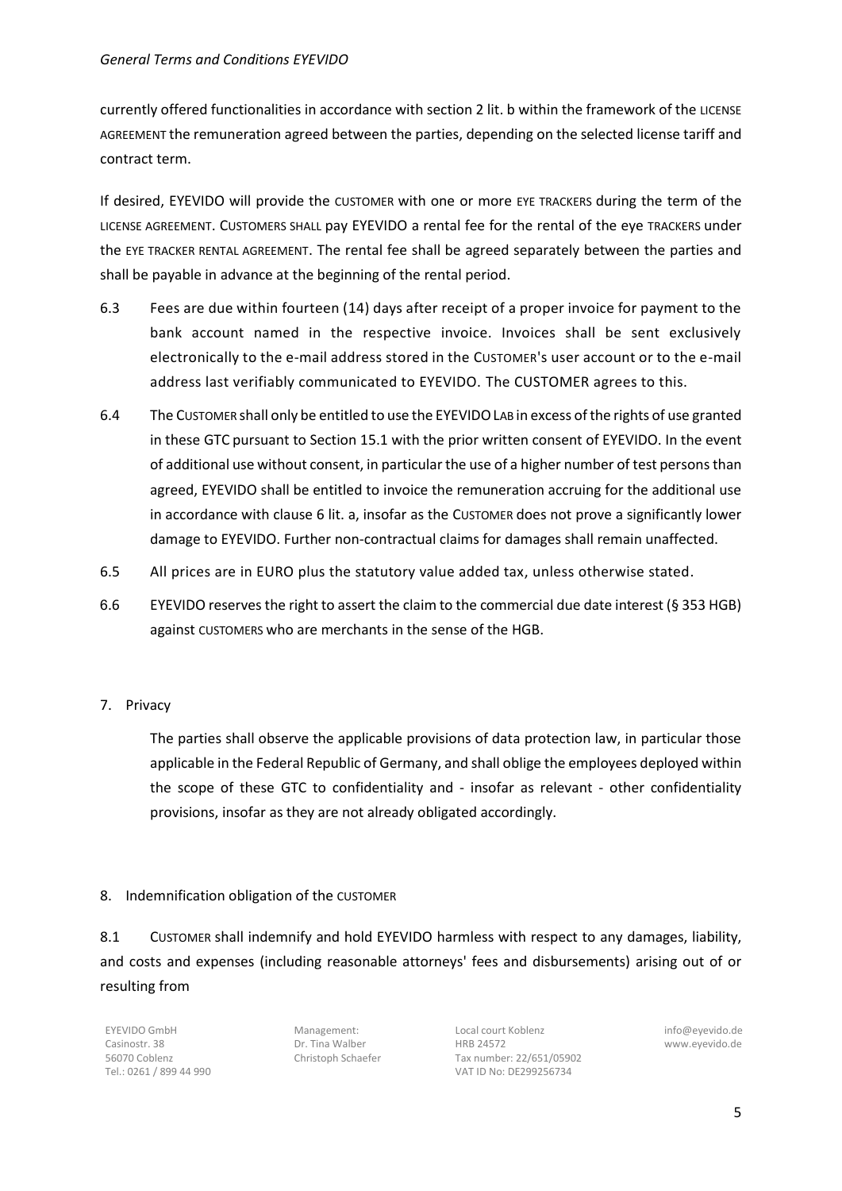#### *General Terms and Conditions EYEVIDO*

currently offered functionalities in accordance with section 2 lit. b within the framework of the LICENSE AGREEMENT the remuneration agreed between the parties, depending on the selected license tariff and contract term.

If desired, EYEVIDO will provide the CUSTOMER with one or more EYE TRACKERS during the term of the LICENSE AGREEMENT. CUSTOMERS SHALL pay EYEVIDO a rental fee for the rental of the eye TRACKERS under the EYE TRACKER RENTAL AGREEMENT. The rental fee shall be agreed separately between the parties and shall be payable in advance at the beginning of the rental period.

- 6.3 Fees are due within fourteen (14) days after receipt of a proper invoice for payment to the bank account named in the respective invoice. Invoices shall be sent exclusively electronically to the e-mail address stored in the CUSTOMER's user account or to the e-mail address last verifiably communicated to EYEVIDO. The CUSTOMER agrees to this.
- 6.4 The CUSTOMER shall only be entitled to use the EYEVIDOLAB in excess of the rights of use granted in these GTC pursuant to Section 15.1 with the prior written consent of EYEVIDO. In the event of additional use without consent, in particular the use of a higher number of test persons than agreed, EYEVIDO shall be entitled to invoice the remuneration accruing for the additional use in accordance with clause 6 lit. a, insofar as the CUSTOMER does not prove a significantly lower damage to EYEVIDO. Further non-contractual claims for damages shall remain unaffected.
- 6.5 All prices are in EURO plus the statutory value added tax, unless otherwise stated.
- 6.6 EYEVIDO reserves the right to assert the claim to the commercial due date interest (§ 353 HGB) against CUSTOMERS who are merchants in the sense of the HGB.
- 7. Privacy

The parties shall observe the applicable provisions of data protection law, in particular those applicable in the Federal Republic of Germany, and shall oblige the employees deployed within the scope of these GTC to confidentiality and - insofar as relevant - other confidentiality provisions, insofar as they are not already obligated accordingly.

#### 8. Indemnification obligation of the CUSTOMER

8.1 CUSTOMER shall indemnify and hold EYEVIDO harmless with respect to any damages, liability, and costs and expenses (including reasonable attorneys' fees and disbursements) arising out of or resulting from

EYEVIDO GmbH Casinostr. 38 56070 Coblenz Tel.: 0261 / 899 44 990 Management: Dr. Tina Walber Christoph Schaefer

Local court Koblenz HRB 24572 Tax number: 22/651/05902 VAT ID No: DE299256734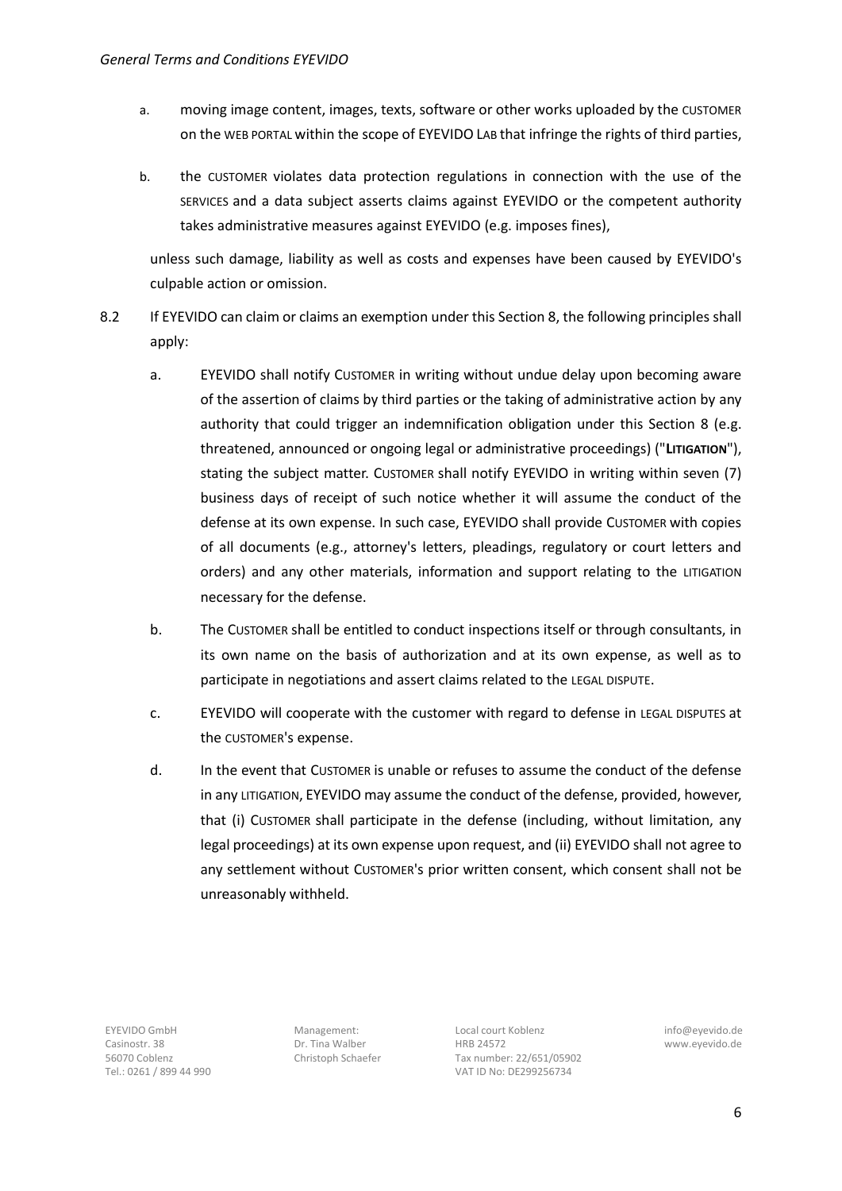- a. moving image content, images, texts, software or other works uploaded by the CUSTOMER on the WEB PORTAL within the scope of EYEVIDO LAB that infringe the rights of third parties,
- b. the CUSTOMER violates data protection regulations in connection with the use of the SERVICES and a data subject asserts claims against EYEVIDO or the competent authority takes administrative measures against EYEVIDO (e.g. imposes fines),

unless such damage, liability as well as costs and expenses have been caused by EYEVIDO's culpable action or omission.

- 8.2 If EYEVIDO can claim or claims an exemption under this Section 8, the following principles shall apply:
	- a. EYEVIDO shall notify CUSTOMER in writing without undue delay upon becoming aware of the assertion of claims by third parties or the taking of administrative action by any authority that could trigger an indemnification obligation under this Section 8 (e.g. threatened, announced or ongoing legal or administrative proceedings) ("**LITIGATION**"), stating the subject matter. CUSTOMER shall notify EYEVIDO in writing within seven (7) business days of receipt of such notice whether it will assume the conduct of the defense at its own expense. In such case, EYEVIDO shall provide CUSTOMER with copies of all documents (e.g., attorney's letters, pleadings, regulatory or court letters and orders) and any other materials, information and support relating to the LITIGATION necessary for the defense.
	- b. The CUSTOMER shall be entitled to conduct inspections itself or through consultants, in its own name on the basis of authorization and at its own expense, as well as to participate in negotiations and assert claims related to the LEGAL DISPUTE.
	- c. EYEVIDO will cooperate with the customer with regard to defense in LEGAL DISPUTES at the CUSTOMER's expense.
	- d. In the event that CUSTOMER is unable or refuses to assume the conduct of the defense in any LITIGATION, EYEVIDO may assume the conduct of the defense, provided, however, that (i) CUSTOMER shall participate in the defense (including, without limitation, any legal proceedings) at its own expense upon request, and (ii) EYEVIDO shall not agree to any settlement without CUSTOMER's prior written consent, which consent shall not be unreasonably withheld.

EYEVIDO GmbH Casinostr. 38 56070 Coblenz Tel.: 0261 / 899 44 990 Management: Dr. Tina Walber Christoph Schaefer

Local court Koblenz HRB 24572 Tax number: 22/651/05902 VAT ID No: DE299256734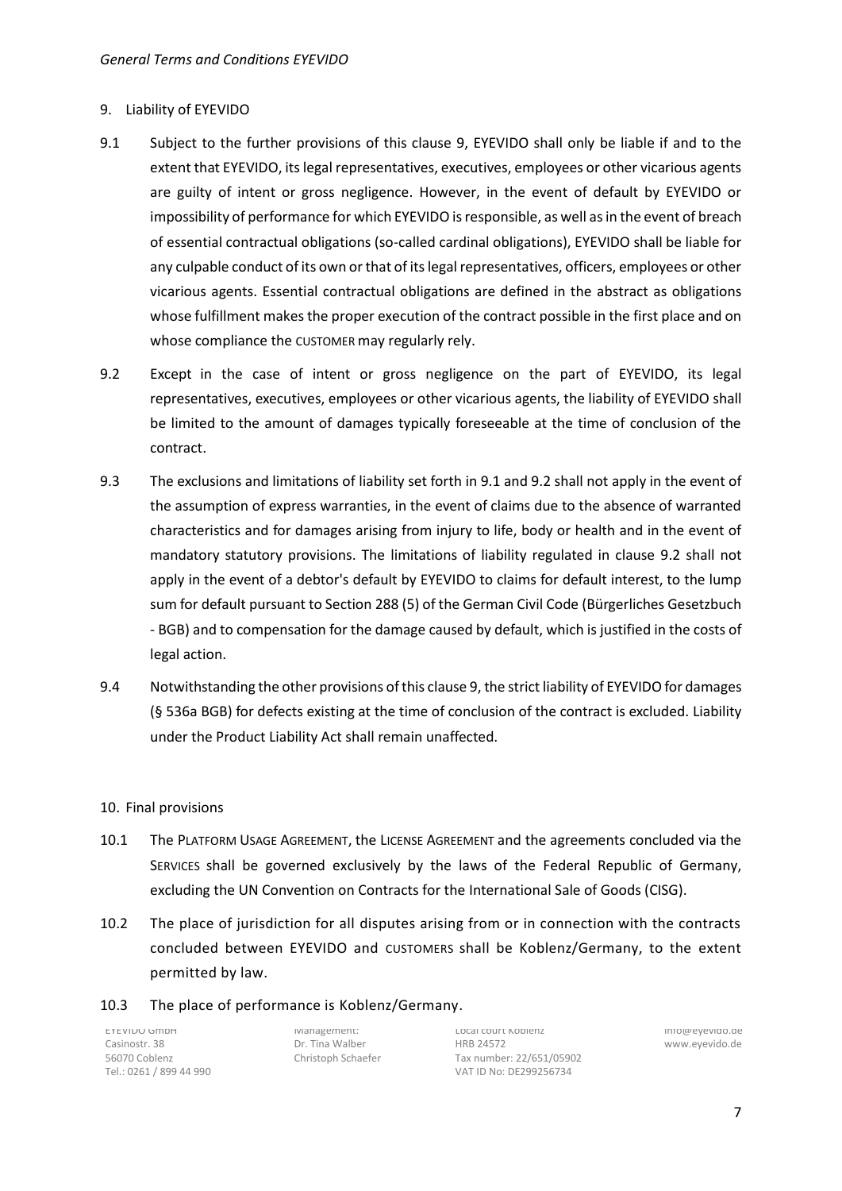## 9. Liability of EYEVIDO

- 9.1 Subject to the further provisions of this clause 9, EYEVIDO shall only be liable if and to the extent that EYEVIDO, its legal representatives, executives, employees or other vicarious agents are guilty of intent or gross negligence. However, in the event of default by EYEVIDO or impossibility of performance for which EYEVIDO is responsible, as well as in the event of breach of essential contractual obligations (so-called cardinal obligations), EYEVIDO shall be liable for any culpable conduct of its own or that of its legal representatives, officers, employees or other vicarious agents. Essential contractual obligations are defined in the abstract as obligations whose fulfillment makes the proper execution of the contract possible in the first place and on whose compliance the CUSTOMER may regularly rely.
- 9.2 Except in the case of intent or gross negligence on the part of EYEVIDO, its legal representatives, executives, employees or other vicarious agents, the liability of EYEVIDO shall be limited to the amount of damages typically foreseeable at the time of conclusion of the contract.
- 9.3 The exclusions and limitations of liability set forth in 9.1 and 9.2 shall not apply in the event of the assumption of express warranties, in the event of claims due to the absence of warranted characteristics and for damages arising from injury to life, body or health and in the event of mandatory statutory provisions. The limitations of liability regulated in clause 9.2 shall not apply in the event of a debtor's default by EYEVIDO to claims for default interest, to the lump sum for default pursuant to Section 288 (5) of the German Civil Code (Bürgerliches Gesetzbuch - BGB) and to compensation for the damage caused by default, which is justified in the costs of legal action.
- 9.4 Notwithstanding the other provisions of this clause 9, the strict liability of EYEVIDO for damages (§ 536a BGB) for defects existing at the time of conclusion of the contract is excluded. Liability under the Product Liability Act shall remain unaffected.

#### 10. Final provisions

- 10.1 The PLATFORM USAGE AGREEMENT, the LICENSE AGREEMENT and the agreements concluded via the SERVICES shall be governed exclusively by the laws of the Federal Republic of Germany, excluding the UN Convention on Contracts for the International Sale of Goods (CISG).
- 10.2 The place of jurisdiction for all disputes arising from or in connection with the contracts concluded between EYEVIDO and CUSTOMERS shall be Koblenz/Germany, to the extent permitted by law.

#### 10.3 The place of performance is Koblenz/Germany.

EYEVIDO GmbH Casinostr. 38 56070 Coblenz Tel.: 0261 / 899 44 990 Management: Dr. Tina Walber Christoph Schaefer

Local court Koblenz HRB 24572 Tax number: 22/651/05902 VAT ID No: DE299256734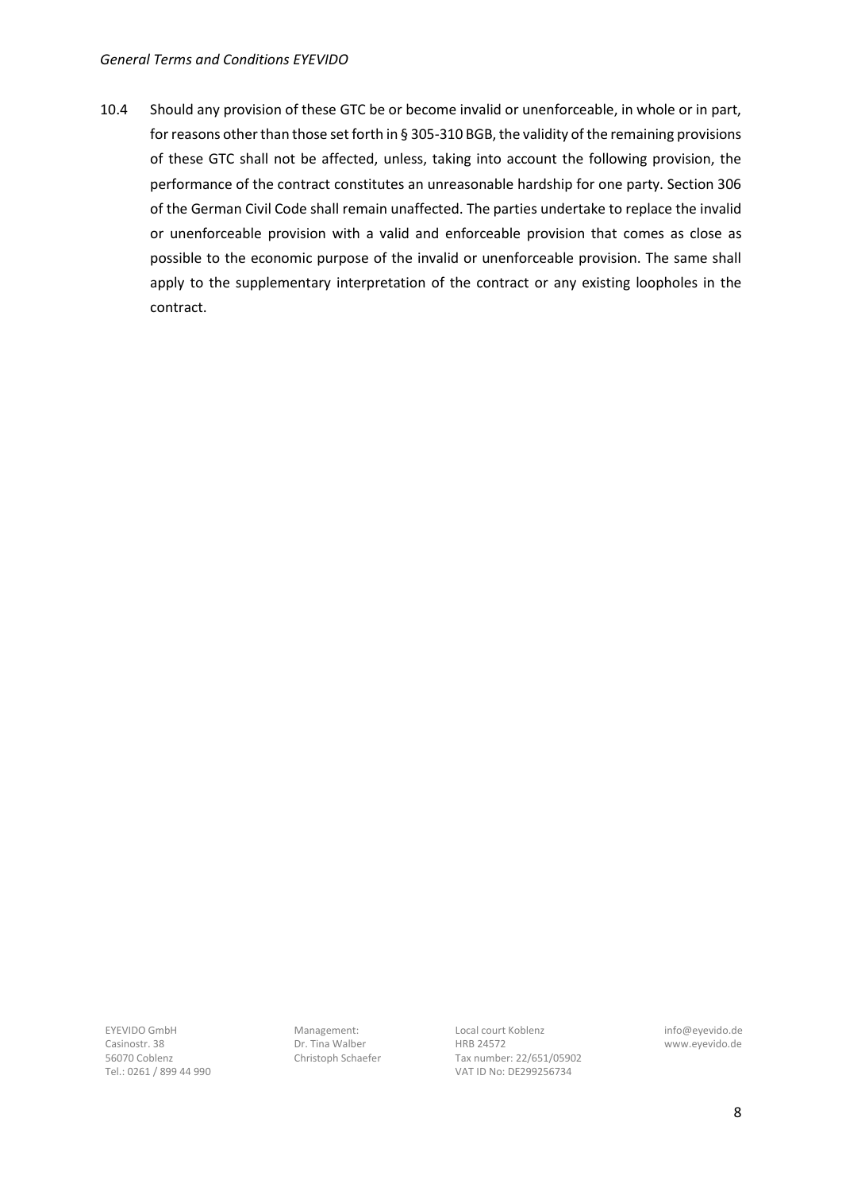10.4 Should any provision of these GTC be or become invalid or unenforceable, in whole or in part, for reasons other than those set forth in § 305-310 BGB, the validity of the remaining provisions of these GTC shall not be affected, unless, taking into account the following provision, the performance of the contract constitutes an unreasonable hardship for one party. Section 306 of the German Civil Code shall remain unaffected. The parties undertake to replace the invalid or unenforceable provision with a valid and enforceable provision that comes as close as possible to the economic purpose of the invalid or unenforceable provision. The same shall apply to the supplementary interpretation of the contract or any existing loopholes in the contract.

EYEVIDO GmbH Casinostr. 38 56070 Coblenz Tel.: 0261 / 899 44 990 Management: Dr. Tina Walber Christoph Schaefer Local court Koblenz HRB 24572 Tax number: 22/651/05902 VAT ID No: DE299256734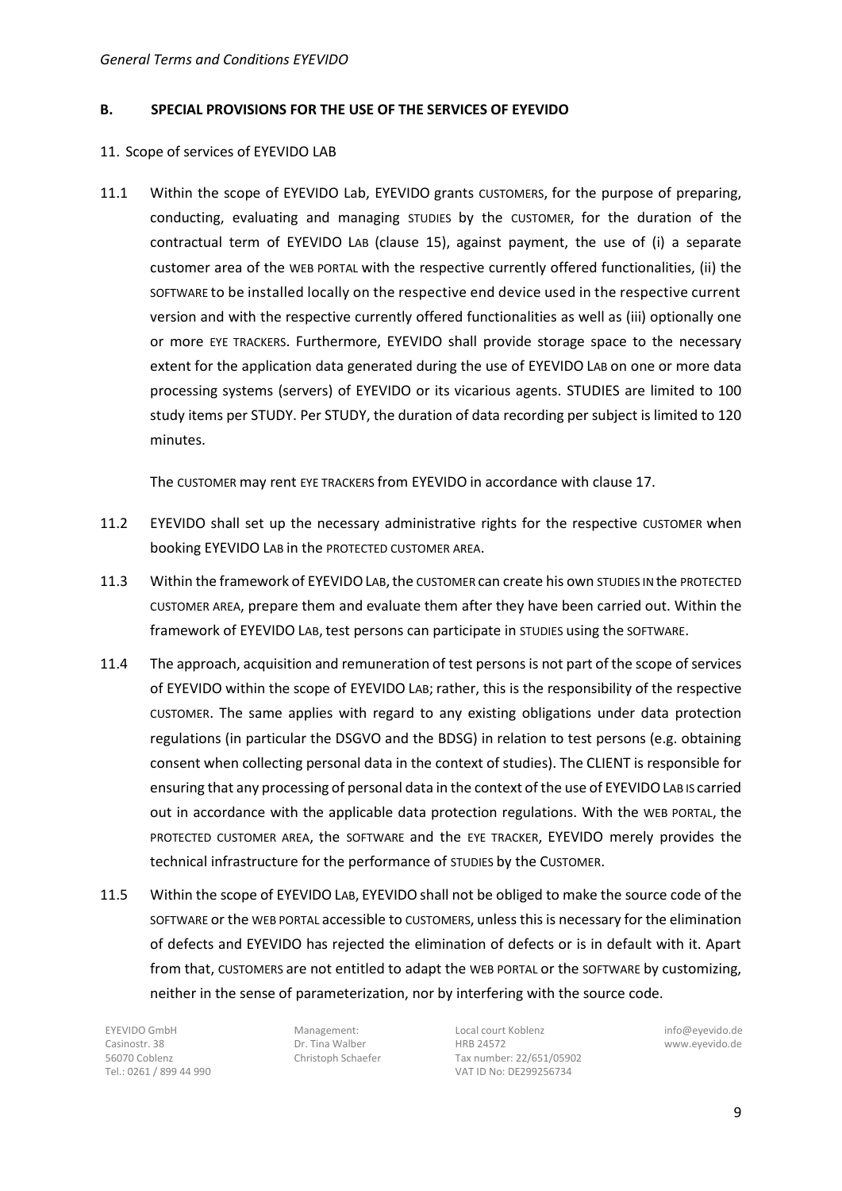## **B. SPECIAL PROVISIONS FOR THE USE OF THE SERVICES OF EYEVIDO**

- 11. Scope of services of EYEVIDO LAB
- 11.1 Within the scope of EYEVIDO Lab, EYEVIDO grants CUSTOMERS, for the purpose of preparing, conducting, evaluating and managing STUDIES by the CUSTOMER, for the duration of the contractual term of EYEVIDO LAB (clause 15), against payment, the use of (i) a separate customer area of the WEB PORTAL with the respective currently offered functionalities, (ii) the SOFTWARE to be installed locally on the respective end device used in the respective current version and with the respective currently offered functionalities as well as (iii) optionally one or more EYE TRACKERS. Furthermore, EYEVIDO shall provide storage space to the necessary extent for the application data generated during the use of EYEVIDO LAB on one or more data processing systems (servers) of EYEVIDO or its vicarious agents. STUDIES are limited to 100 study items per STUDY. Per STUDY, the duration of data recording per subject is limited to 120 minutes.

The CUSTOMER may rent EYE TRACKERS from EYEVIDO in accordance with clause 17.

- 11.2 EYEVIDO shall set up the necessary administrative rights for the respective CUSTOMER when booking EYEVIDO LAB in the PROTECTED CUSTOMER AREA.
- 11.3 Within the framework of EYEVIDOLAB,the CUSTOMER can create his own STUDIES IN the PROTECTED CUSTOMER AREA, prepare them and evaluate them after they have been carried out. Within the framework of EYEVIDO LAB, test persons can participate in STUDIES using the SOFTWARE.
- 11.4 The approach, acquisition and remuneration of test persons is not part of the scope of services of EYEVIDO within the scope of EYEVIDO LAB; rather, this is the responsibility of the respective CUSTOMER. The same applies with regard to any existing obligations under data protection regulations (in particular the DSGVO and the BDSG) in relation to test persons (e.g. obtaining consent when collecting personal data in the context of studies). The CLIENT is responsible for ensuring that any processing of personal data in the context of the use of EYEVIDOLAB IS carried out in accordance with the applicable data protection regulations. With the WEB PORTAL, the PROTECTED CUSTOMER AREA, the SOFTWARE and the EYE TRACKER, EYEVIDO merely provides the technical infrastructure for the performance of STUDIES by the CUSTOMER.
- 11.5 Within the scope of EYEVIDO LAB, EYEVIDO shall not be obliged to make the source code of the SOFTWARE or the WEB PORTAL accessible to CUSTOMERS, unless this is necessary for the elimination of defects and EYEVIDO has rejected the elimination of defects or is in default with it. Apart from that, CUSTOMERS are not entitled to adapt the WEB PORTAL or the SOFTWARE by customizing, neither in the sense of parameterization, nor by interfering with the source code.

EYEVIDO GmbH Casinostr. 38 56070 Coblenz Tel.: 0261 / 899 44 990 Management: Dr. Tina Walber Christoph Schaefer

Local court Koblenz HRB 24572 Tax number: 22/651/05902 VAT ID No: DE299256734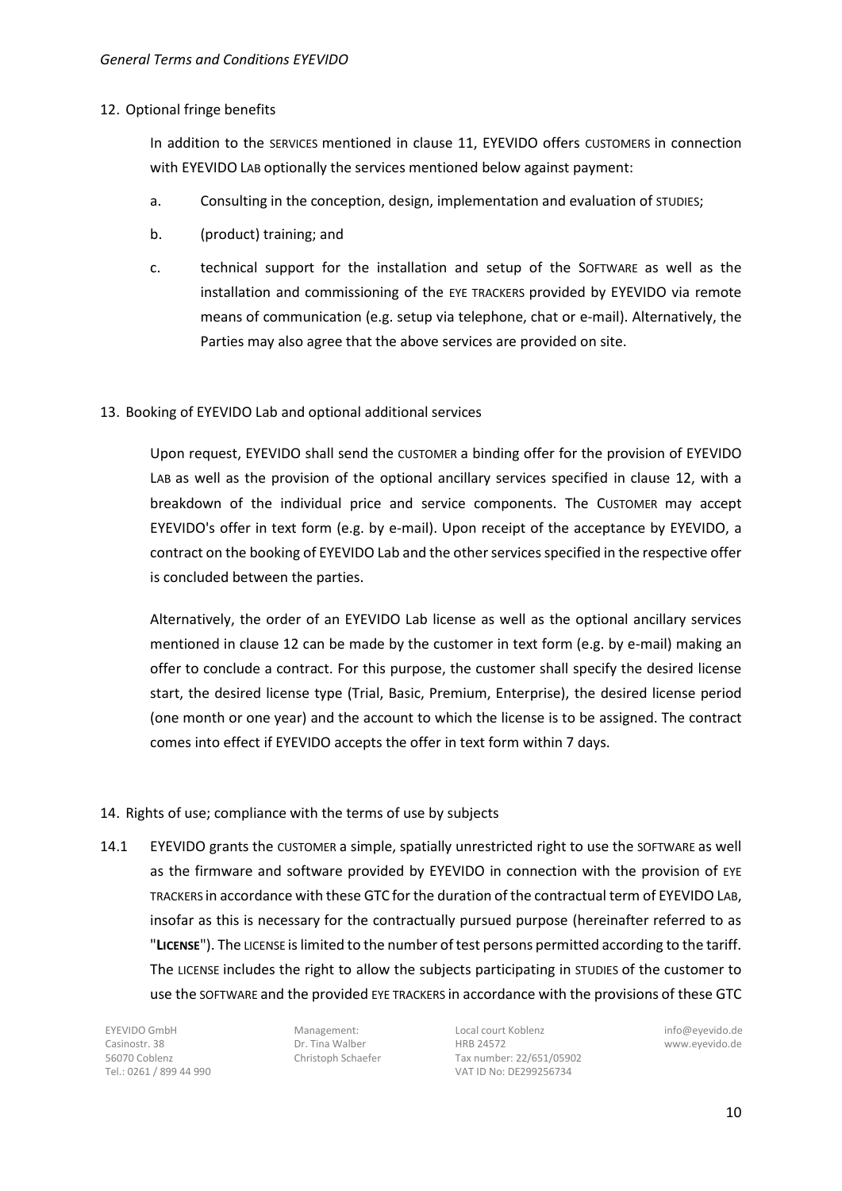## 12. Optional fringe benefits

In addition to the SERVICES mentioned in clause 11, EYEVIDO offers CUSTOMERS in connection with EYEVIDO LAB optionally the services mentioned below against payment:

- a. Consulting in the conception, design, implementation and evaluation of STUDIES;
- b. (product) training; and
- c. technical support for the installation and setup of the SOFTWARE as well as the installation and commissioning of the EYE TRACKERS provided by EYEVIDO via remote means of communication (e.g. setup via telephone, chat or e-mail). Alternatively, the Parties may also agree that the above services are provided on site.

# 13. Booking of EYEVIDO Lab and optional additional services

Upon request, EYEVIDO shall send the CUSTOMER a binding offer for the provision of EYEVIDO LAB as well as the provision of the optional ancillary services specified in clause 12, with a breakdown of the individual price and service components. The CUSTOMER may accept EYEVIDO's offer in text form (e.g. by e-mail). Upon receipt of the acceptance by EYEVIDO, a contract on the booking of EYEVIDO Lab and the other services specified in the respective offer is concluded between the parties.

Alternatively, the order of an EYEVIDO Lab license as well as the optional ancillary services mentioned in clause 12 can be made by the customer in text form (e.g. by e-mail) making an offer to conclude a contract. For this purpose, the customer shall specify the desired license start, the desired license type (Trial, Basic, Premium, Enterprise), the desired license period (one month or one year) and the account to which the license is to be assigned. The contract comes into effect if EYEVIDO accepts the offer in text form within 7 days.

- 14. Rights of use; compliance with the terms of use by subjects
- 14.1 EYEVIDO grants the CUSTOMER a simple, spatially unrestricted right to use the SOFTWARE as well as the firmware and software provided by EYEVIDO in connection with the provision of EYE TRACKERS in accordance with these GTC for the duration of the contractual term of EYEVIDO LAB, insofar as this is necessary for the contractually pursued purpose (hereinafter referred to as "**LICENSE**"). The LICENSE is limited to the number of test persons permitted according to the tariff. The LICENSE includes the right to allow the subjects participating in STUDIES of the customer to use the SOFTWARE and the provided EYE TRACKERS in accordance with the provisions of these GTC

EYEVIDO GmbH Casinostr. 38 56070 Coblenz Tel.: 0261 / 899 44 990 Management: Dr. Tina Walber Christoph Schaefer

Local court Koblenz HRB 24572 Tax number: 22/651/05902 VAT ID No: DE299256734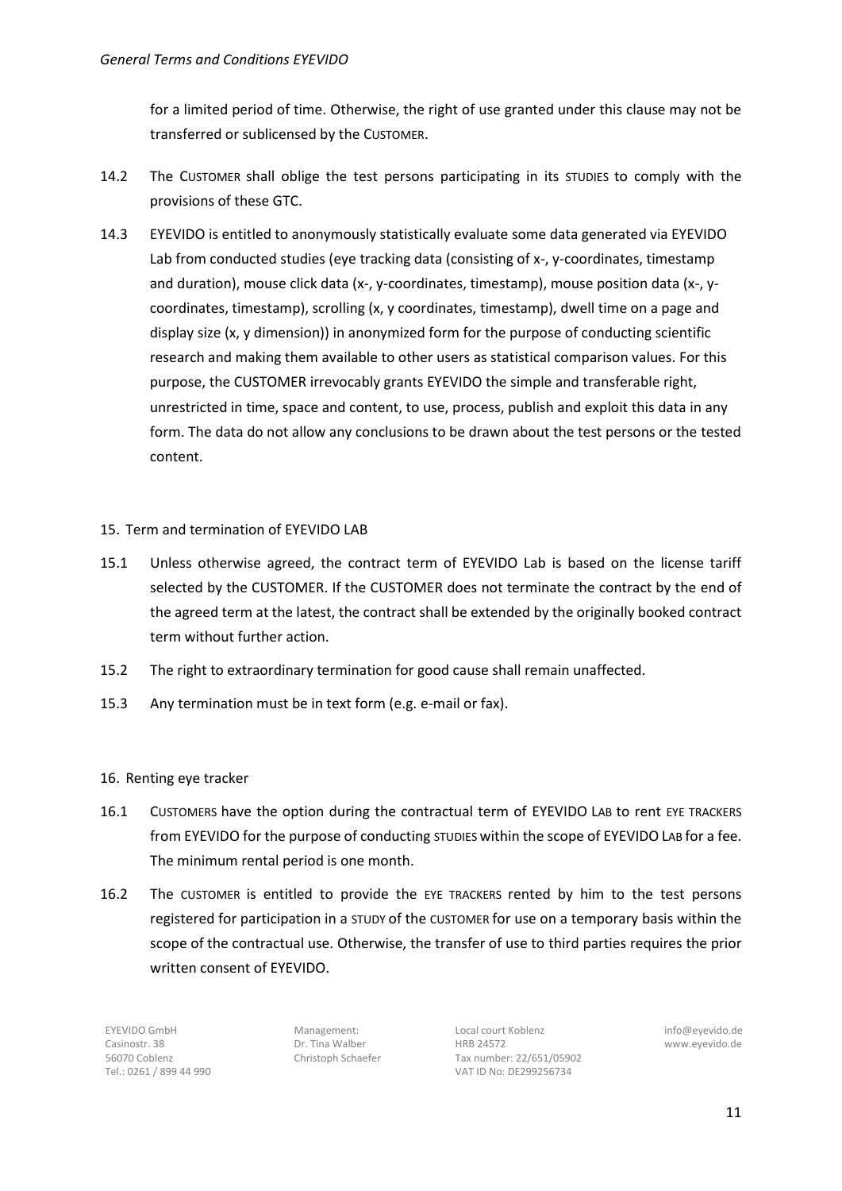for a limited period of time. Otherwise, the right of use granted under this clause may not be transferred or sublicensed by the CUSTOMER.

- 14.2 The CUSTOMER shall oblige the test persons participating in its STUDIES to comply with the provisions of these GTC.
- 14.3 EYEVIDO is entitled to anonymously statistically evaluate some data generated via EYEVIDO Lab from conducted studies (eye tracking data (consisting of x-, y-coordinates, timestamp and duration), mouse click data (x-, y-coordinates, timestamp), mouse position data (x-, ycoordinates, timestamp), scrolling (x, y coordinates, timestamp), dwell time on a page and display size (x, y dimension)) in anonymized form for the purpose of conducting scientific research and making them available to other users as statistical comparison values. For this purpose, the CUSTOMER irrevocably grants EYEVIDO the simple and transferable right, unrestricted in time, space and content, to use, process, publish and exploit this data in any form. The data do not allow any conclusions to be drawn about the test persons or the tested content.

# 15. Term and termination of EYEVIDO LAB

- 15.1 Unless otherwise agreed, the contract term of EYEVIDO Lab is based on the license tariff selected by the CUSTOMER. If the CUSTOMER does not terminate the contract by the end of the agreed term at the latest, the contract shall be extended by the originally booked contract term without further action.
- 15.2 The right to extraordinary termination for good cause shall remain unaffected.
- 15.3 Any termination must be in text form (e.g. e-mail or fax).

# 16. Renting eye tracker

- 16.1 CUSTOMERS have the option during the contractual term of EYEVIDO LAB to rent EYE TRACKERS from EYEVIDO for the purpose of conducting STUDIES within the scope of EYEVIDO LAB for a fee. The minimum rental period is one month.
- 16.2 The CUSTOMER is entitled to provide the EYE TRACKERS rented by him to the test persons registered for participation in a STUDY of the CUSTOMER for use on a temporary basis within the scope of the contractual use. Otherwise, the transfer of use to third parties requires the prior written consent of EYEVIDO.

EYEVIDO GmbH Casinostr. 38 56070 Coblenz Tel.: 0261 / 899 44 990 Management: Dr. Tina Walber Christoph Schaefer Local court Koblenz HRB 24572 Tax number: 22/651/05902 VAT ID No: DE299256734